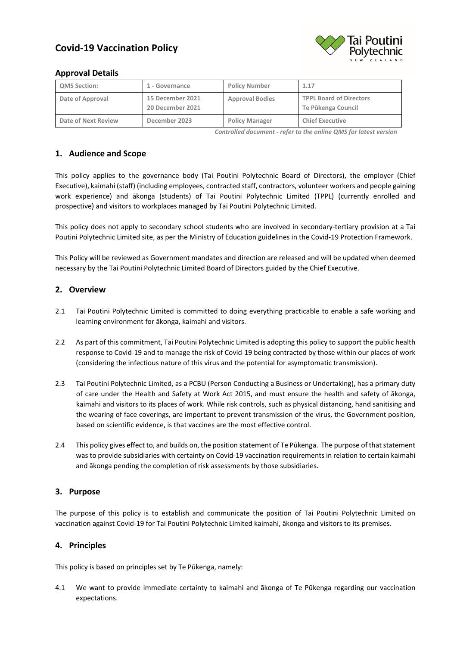# **Covid-19 Vaccination Policy**



# **Approval Details**

| <b>QMS Section:</b> | 1 - Governance                       | <b>Policy Number</b>   | 1.17                                                 |
|---------------------|--------------------------------------|------------------------|------------------------------------------------------|
| Date of Approval    | 15 December 2021<br>20 December 2021 | <b>Approval Bodies</b> | <b>TPPL Board of Directors</b><br>Te Pükenga Council |
| Date of Next Review | December 2023                        | <b>Policy Manager</b>  | <b>Chief Executive</b>                               |

*Controlled document - refer to the online QMS for latest version*

# **1. Audience and Scope**

This policy applies to the governance body (Tai Poutini Polytechnic Board of Directors), the employer (Chief Executive), kaimahi (staff) (including employees, contracted staff, contractors, volunteer workers and people gaining work experience) and ākonga (students) of Tai Poutini Polytechnic Limited (TPPL) (currently enrolled and prospective) and visitors to workplaces managed by Tai Poutini Polytechnic Limited.

This policy does not apply to secondary school students who are involved in secondary-tertiary provision at a Tai Poutini Polytechnic Limited site, as per the Ministry of Education guidelines in the Covid-19 Protection Framework.

This Policy will be reviewed as Government mandates and direction are released and will be updated when deemed necessary by the Tai Poutini Polytechnic Limited Board of Directors guided by the Chief Executive.

# **2. Overview**

- 2.1 Tai Poutini Polytechnic Limited is committed to doing everything practicable to enable a safe working and learning environment for ākonga, kaimahi and visitors.
- 2.2 As part of this commitment, Tai Poutini Polytechnic Limited is adopting this policy to support the public health response to Covid-19 and to manage the risk of Covid-19 being contracted by those within our places of work (considering the infectious nature of this virus and the potential for asymptomatic transmission).
- 2.3 Tai Poutini Polytechnic Limited, as a PCBU (Person Conducting a Business or Undertaking), has a primary duty of care under the Health and Safety at Work Act 2015, and must ensure the health and safety of ākonga, kaimahi and visitors to its places of work. While risk controls, such as physical distancing, hand sanitising and the wearing of face coverings, are important to prevent transmission of the virus, the Government position, based on scientific evidence, is that vaccines are the most effective control.
- 2.4 This policy gives effect to, and builds on, the position statement of Te Pūkenga. The purpose of that statement was to provide subsidiaries with certainty on Covid-19 vaccination requirements in relation to certain kaimahi and ākonga pending the completion of risk assessments by those subsidiaries.

# **3. Purpose**

The purpose of this policy is to establish and communicate the position of Tai Poutini Polytechnic Limited on vaccination against Covid-19 for Tai Poutini Polytechnic Limited kaimahi, ākonga and visitors to its premises.

# **4. Principles**

This policy is based on principles set by Te Pūkenga, namely:

4.1 We want to provide immediate certainty to kaimahi and ākonga of Te Pūkenga regarding our vaccination expectations.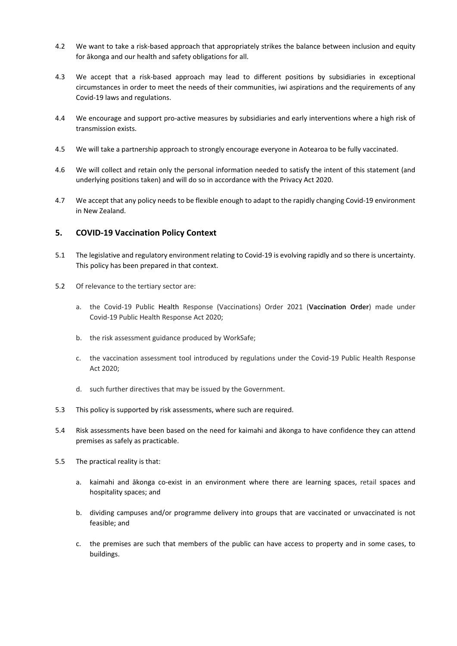- 4.2 We want to take a risk-based approach that appropriately strikes the balance between inclusion and equity for ākonga and our health and safety obligations for all.
- 4.3 We accept that a risk-based approach may lead to different positions by subsidiaries in exceptional circumstances in order to meet the needs of their communities, iwi aspirations and the requirements of any Covid-19 laws and regulations.
- 4.4 We encourage and support pro-active measures by subsidiaries and early interventions where a high risk of transmission exists.
- 4.5 We will take a partnership approach to strongly encourage everyone in Aotearoa to be fully vaccinated.
- 4.6 We will collect and retain only the personal information needed to satisfy the intent of this statement (and underlying positions taken) and will do so in accordance with the Privacy Act 2020.
- 4.7 We accept that any policy needs to be flexible enough to adapt to the rapidly changing Covid-19 environment in New Zealand.

# **5. COVID-19 Vaccination Policy Context**

- 5.1 The legislative and regulatory environment relating to Covid-19 is evolving rapidly and so there is uncertainty. This policy has been prepared in that context.
- 5.2 Of relevance to the tertiary sector are:
	- a. the Covid-19 Public Health Response (Vaccinations) Order 2021 (**Vaccination Order**) made under Covid-19 Public Health Response Act 2020;
	- b. the risk assessment guidance produced by WorkSafe;
	- c. the vaccination assessment tool introduced by regulations under the Covid-19 Public Health Response Act 2020;
	- d. such further directives that may be issued by the Government.
- 5.3 This policy is supported by risk assessments, where such are required.
- 5.4 Risk assessments have been based on the need for kaimahi and ākonga to have confidence they can attend premises as safely as practicable.
- 5.5 The practical reality is that:
	- a. kaimahi and ākonga co-exist in an environment where there are learning spaces, retail spaces and hospitality spaces; and
	- b. dividing campuses and/or programme delivery into groups that are vaccinated or unvaccinated is not feasible; and
	- c. the premises are such that members of the public can have access to property and in some cases, to buildings.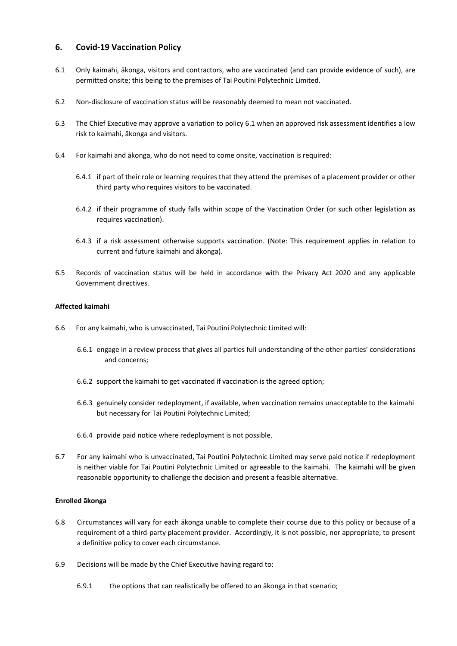# **6. Covid-19 Vaccination Policy**

- 6.1 Only kaimahi, ākonga, visitors and contractors, who are vaccinated (and can provide evidence of such), are permitted onsite; this being to the premises of Tai Poutini Polytechnic Limited.
- 6.2 Non-disclosure of vaccination status will be reasonably deemed to mean not vaccinated.
- 6.3 The Chief Executive may approve a variation to policy 6.1 when an approved risk assessment identifies a low risk to kaimahi, ākonga and visitors.
- 6.4 For kaimahi and ākonga, who do not need to come onsite, vaccination is required:
	- 6.4.1 if part of their role or learning requires that they attend the premises of a placement provider or other third party who requires visitors to be vaccinated.
	- 6.4.2 if their programme of study falls within scope of the Vaccination Order (or such other legislation as requires vaccination).
	- 6.4.3 if a risk assessment otherwise supports vaccination. (Note: This requirement applies in relation to current and future kaimahi and ākonga).
- 6.5 Records of vaccination status will be held in accordance with the Privacy Act 2020 and any applicable Government directives.

#### **Affected kaimahi**

- 6.6 For any kaimahi, who is unvaccinated, Tai Poutini Polytechnic Limited will:
	- 6.6.1 engage in a review process that gives all parties full understanding of the other parties' considerations and concerns;
	- 6.6.2 support the kaimahi to get vaccinated if vaccination is the agreed option;
	- 6.6.3 genuinely consider redeployment, if available, when vaccination remains unacceptable to the kaimahi but necessary for Tai Poutini Polytechnic Limited;
	- 6.6.4 provide paid notice where redeployment is not possible.
- 6.7 For any kaimahi who is unvaccinated, Tai Poutini Polytechnic Limited may serve paid notice if redeployment is neither viable for Tai Poutini Polytechnic Limited or agreeable to the kaimahi. The kaimahi will be given reasonable opportunity to challenge the decision and present a feasible alternative.

#### **Enrolled ākonga**

- 6.8 Circumstances will vary for each ākonga unable to complete their course due to this policy or because of a requirement of a third-party placement provider. Accordingly, it is not possible, nor appropriate, to present a definitive policy to cover each circumstance.
- 6.9 Decisions will be made by the Chief Executive having regard to:
	- 6.9.1 the options that can realistically be offered to an ākonga in that scenario;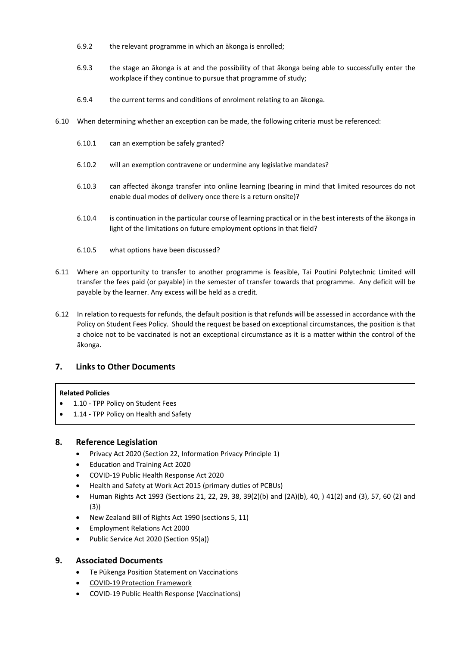- 6.9.2 the relevant programme in which an ākonga is enrolled;
- 6.9.3 the stage an ākonga is at and the possibility of that ākonga being able to successfully enter the workplace if they continue to pursue that programme of study;
- 6.9.4 the current terms and conditions of enrolment relating to an ākonga.
- 6.10 When determining whether an exception can be made, the following criteria must be referenced:
	- 6.10.1 can an exemption be safely granted?
	- 6.10.2 will an exemption contravene or undermine any legislative mandates?
	- 6.10.3 can affected ākonga transfer into online learning (bearing in mind that limited resources do not enable dual modes of delivery once there is a return onsite)?
	- 6.10.4 is continuation in the particular course of learning practical or in the best interests of the ākonga in light of the limitations on future employment options in that field?
	- 6.10.5 what options have been discussed?
- 6.11 Where an opportunity to transfer to another programme is feasible, Tai Poutini Polytechnic Limited will transfer the fees paid (or payable) in the semester of transfer towards that programme. Any deficit will be payable by the learner. Any excess will be held as a credit.
- 6.12 In relation to requests for refunds, the default position is that refunds will be assessed in accordance with the Policy on Student Fees Policy. Should the request be based on exceptional circumstances, the position is that a choice not to be vaccinated is not an exceptional circumstance as it is a matter within the control of the ākonga.

# **7. Links to Other Documents**

#### **Related Policies**

- 1.10 TPP Policy on Student Fees
- 1.14 TPP Policy on Health and Safety

# **8. Reference Legislation**

- Privacy Act 2020 (Section 22, Information Privacy Principle 1)
- Education and Training Act 2020
- COVID-19 Public Health Response Act 2020
- Health and Safety at Work Act 2015 (primary duties of PCBUs)
- Human Rights Act 1993 (Sections 21, 22, 29, 38, 39(2)(b) and (2A)(b), 40, ) 41(2) and (3), 57, 60 (2) and (3))
- New Zealand Bill of Rights Act 1990 (sections 5, 11)
- Employment Relations Act 2000
- Public Service Act 2020 (Section 95(a))

# **9. Associated Documents**

- Te Pūkenga Position Statement on Vaccinations
- [COVID-19 Protection Framework](https://covid19.govt.nz/assets/COVID-19-Protection-Framework/COVID-19-Protection-Framework-22-October-2021.pdf)
- COVID-19 Public Health Response (Vaccinations)